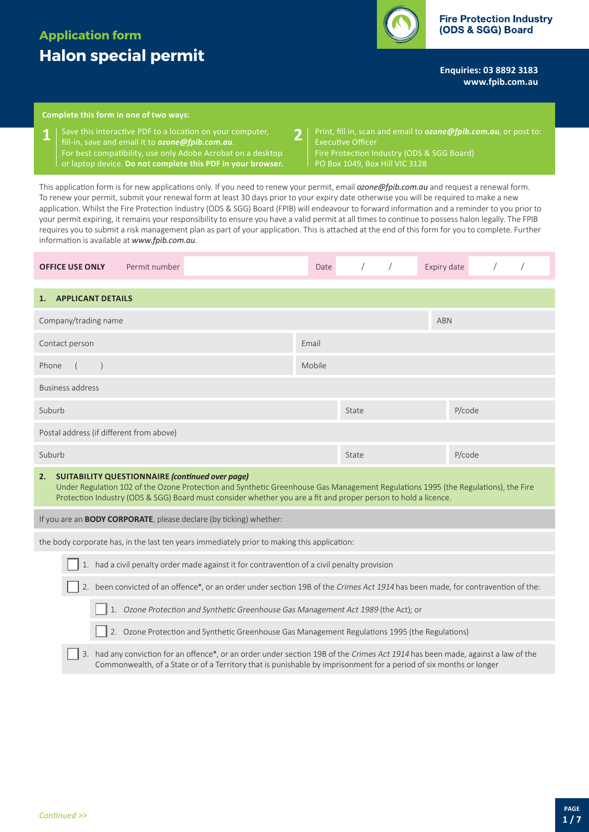# **Application form Halon special permit**



**Enquiries: 03 8892 3183 <www.fpib.com.au>**

## **Complete this form in one of two ways:**

- Save this interactive PDF to a location on your computer, **1 2** fill-in, save and email it to *[ozone@fpib.com.au](mailto:ozone@fpib.com.au)*. For best compatibility, use only Adobe Acrobat on a desktop or laptop device. **Do not complete this PDF in your browser.**
- Print, fill in, scan and email to *[ozone@fpib.com.au](mailto:)*, or post to: Executive Officer Fire Protection Industry (ODS & SGG Board) PO Box 1049, Box Hill VIC 3128

This application form is for new applications only. If you need to renew your permit, email *[ozone@fpib.com.au](mailto:ozone@fpib.com.au)* and request a renewal form. To renew your permit, submit your renewal form at least 30 days prior to your expiry date otherwise you will be required to make a new application. Whilst the Fire Protection Industry (ODS & SGG) Board (FPIB) will endeavour to forward information and a reminder to you prior to your permit expiring, it remains your responsibility to ensure you have a valid permit at all times to continue to possess halon legally. The FPIB requires you to submit a risk management plan as part of your application. This is attached at the end of this form for you to complete. Further information is available at *www.fpib.com.au*.

| <b>OFFICE USE ONLY</b>                                                                                                                                                                                                                                                                                              | Permit number | Date   |       | Expiry date |        |  |
|---------------------------------------------------------------------------------------------------------------------------------------------------------------------------------------------------------------------------------------------------------------------------------------------------------------------|---------------|--------|-------|-------------|--------|--|
| 1. APPLICANT DETAILS                                                                                                                                                                                                                                                                                                |               |        |       |             |        |  |
|                                                                                                                                                                                                                                                                                                                     |               |        |       |             |        |  |
| Company/trading name                                                                                                                                                                                                                                                                                                |               |        |       | <b>ABN</b>  |        |  |
| Contact person                                                                                                                                                                                                                                                                                                      |               |        |       |             |        |  |
| Phone<br>$\sqrt{2}$                                                                                                                                                                                                                                                                                                 |               | Mobile |       |             |        |  |
| Business address                                                                                                                                                                                                                                                                                                    |               |        |       |             |        |  |
| Suburb                                                                                                                                                                                                                                                                                                              |               |        | State |             | P/code |  |
| Postal address (if different from above)                                                                                                                                                                                                                                                                            |               |        |       |             |        |  |
| Suburb                                                                                                                                                                                                                                                                                                              |               |        | State |             | P/code |  |
| <b>SUITABILITY QUESTIONNAIRE (continued over page)</b><br>2.<br>Under Regulation 102 of the Ozone Protection and Synthetic Greenhouse Gas Management Regulations 1995 (the Regulations), the Fire<br>Protection Industry (ODS & SGG) Board must consider whether you are a fit and proper person to hold a licence. |               |        |       |             |        |  |
| If you are an <b>BODY CORPORATE</b> , please declare (by ticking) whether:                                                                                                                                                                                                                                          |               |        |       |             |        |  |

the body corporate has, in the last ten years immediately prior to making this application:

|  | $\Box$ 1. had a civil penalty order made against it for contravention of a civil penalty provision |
|--|----------------------------------------------------------------------------------------------------|
|  |                                                                                                    |
|  |                                                                                                    |

|  |  |  |  | 2. been convicted of an offence*, or an order under section 19B of the Crimes Act 1914 has been made, for contravention of the: |
|--|--|--|--|---------------------------------------------------------------------------------------------------------------------------------|
|--|--|--|--|---------------------------------------------------------------------------------------------------------------------------------|

1. Ozone Protection and Synthetic Greenhouse Gas Management Act 1989 (the Act); or

2. Ozone Protection and Synthetic Greenhouse Gas Management Regulations 1995 (the Regulations)

3. had any conviction for an offence\*, or an order under section 19B of the Crimes Act 1914 has been made, against a law of the Commonwealth, of a State or of a Territory that is punishable by imprisonment for a period of six months or longer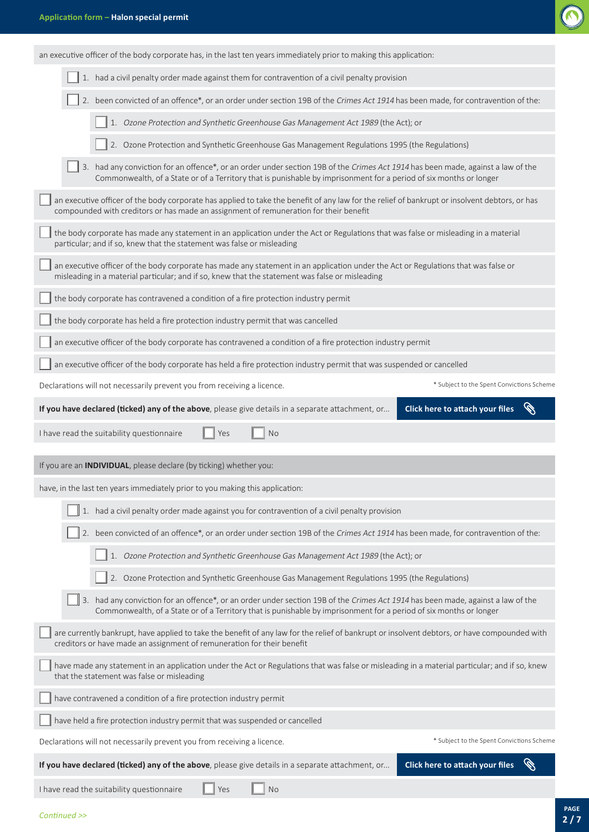

| an executive officer of the body corporate has, in the last ten years immediately prior to making this application:                                                                                                                                   |  |  |  |  |  |
|-------------------------------------------------------------------------------------------------------------------------------------------------------------------------------------------------------------------------------------------------------|--|--|--|--|--|
| 1. had a civil penalty order made against them for contravention of a civil penalty provision                                                                                                                                                         |  |  |  |  |  |
| 2. been convicted of an offence*, or an order under section 19B of the Crimes Act 1914 has been made, for contravention of the:                                                                                                                       |  |  |  |  |  |
| 1. Ozone Protection and Synthetic Greenhouse Gas Management Act 1989 (the Act); or                                                                                                                                                                    |  |  |  |  |  |
| 2. Ozone Protection and Synthetic Greenhouse Gas Management Regulations 1995 (the Regulations)                                                                                                                                                        |  |  |  |  |  |
| 3. had any conviction for an offence*, or an order under section 19B of the Crimes Act 1914 has been made, against a law of the<br>Commonwealth, of a State or of a Territory that is punishable by imprisonment for a period of six months or longer |  |  |  |  |  |
| an executive officer of the body corporate has applied to take the benefit of any law for the relief of bankrupt or insolvent debtors, or has<br>compounded with creditors or has made an assignment of remuneration for their benefit                |  |  |  |  |  |
| the body corporate has made any statement in an application under the Act or Regulations that was false or misleading in a material<br>particular; and if so, knew that the statement was false or misleading                                         |  |  |  |  |  |
| an executive officer of the body corporate has made any statement in an application under the Act or Regulations that was false or<br>misleading in a material particular; and if so, knew that the statement was false or misleading                 |  |  |  |  |  |
| the body corporate has contravened a condition of a fire protection industry permit                                                                                                                                                                   |  |  |  |  |  |
| the body corporate has held a fire protection industry permit that was cancelled                                                                                                                                                                      |  |  |  |  |  |
| an executive officer of the body corporate has contravened a condition of a fire protection industry permit                                                                                                                                           |  |  |  |  |  |
| an executive officer of the body corporate has held a fire protection industry permit that was suspended or cancelled                                                                                                                                 |  |  |  |  |  |
| Declarations will not necessarily prevent you from receiving a licence.<br>* Subject to the Spent Convictions Scheme                                                                                                                                  |  |  |  |  |  |
| Click here to attach your files<br>If you have declared (ticked) any of the above, please give details in a separate attachment, or                                                                                                                   |  |  |  |  |  |
| I have read the suitability questionnaire<br><b>No</b><br>Yes                                                                                                                                                                                         |  |  |  |  |  |
| If you are an <b>INDIVIDUAL</b> , please declare (by ticking) whether you:                                                                                                                                                                            |  |  |  |  |  |
| have, in the last ten years immediately prior to you making this application:                                                                                                                                                                         |  |  |  |  |  |
| 1. had a civil penalty order made against you for contravention of a civil penalty provision                                                                                                                                                          |  |  |  |  |  |
| 2. been convicted of an offence*, or an order under section 19B of the Crimes Act 1914 has been made, for contravention of the:                                                                                                                       |  |  |  |  |  |
| 1. Ozone Protection and Synthetic Greenhouse Gas Management Act 1989 (the Act); or                                                                                                                                                                    |  |  |  |  |  |
| 2. Ozone Protection and Synthetic Greenhouse Gas Management Regulations 1995 (the Regulations)                                                                                                                                                        |  |  |  |  |  |
| 3. had any conviction for an offence*, or an order under section 19B of the Crimes Act 1914 has been made, against a law of the<br>Commonwealth, of a State or of a Territory that is punishable by imprisonment for a period of six months or longer |  |  |  |  |  |
| are currently bankrupt, have applied to take the benefit of any law for the relief of bankrupt or insolvent debtors, or have compounded with<br>creditors or have made an assignment of remuneration for their benefit                                |  |  |  |  |  |
| have made any statement in an application under the Act or Regulations that was false or misleading in a material particular; and if so, knew<br>that the statement was false or misleading                                                           |  |  |  |  |  |
|                                                                                                                                                                                                                                                       |  |  |  |  |  |
| have contravened a condition of a fire protection industry permit                                                                                                                                                                                     |  |  |  |  |  |
| have held a fire protection industry permit that was suspended or cancelled                                                                                                                                                                           |  |  |  |  |  |
| * Subject to the Spent Convictions Scheme<br>Declarations will not necessarily prevent you from receiving a licence.                                                                                                                                  |  |  |  |  |  |

I have read the suitability questionnaire  $\Box$  Yes  $\Box$  No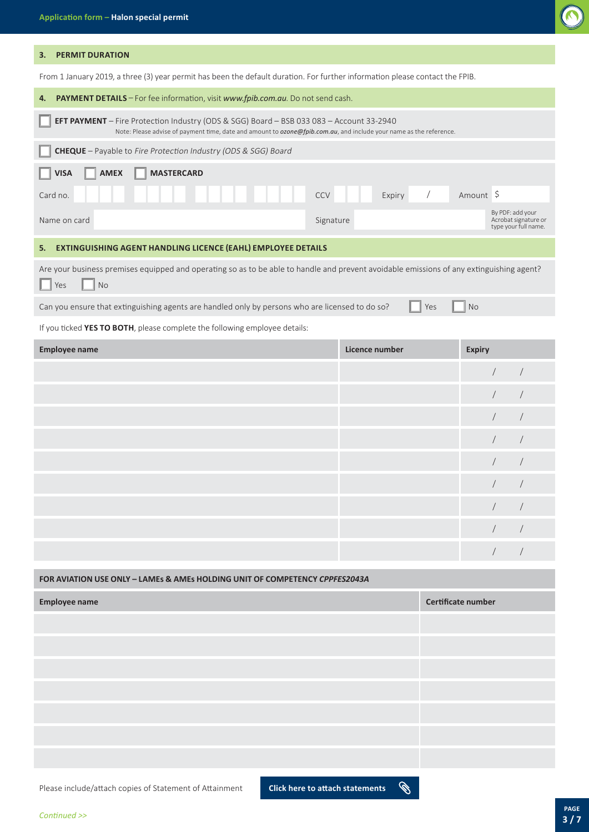

### **3. PERMIT DURATION**

From 1 January 2019, a three (3) year permit has been the default duration. For further information please contact the FPIB.

| PAYMENT DETAILS - For fee information, visit www.fpib.com.au. Do not send cash.<br>4.                                                                                                                          |                                    |                                                                                                                     |  |  |  |  |
|----------------------------------------------------------------------------------------------------------------------------------------------------------------------------------------------------------------|------------------------------------|---------------------------------------------------------------------------------------------------------------------|--|--|--|--|
| EFT PAYMENT - Fire Protection Industry (ODS & SGG) Board - BSB 033 083 - Account 33-2940<br>Note: Please advise of payment time, date and amount to ozone@fpib.com.au, and include your name as the reference. |                                    |                                                                                                                     |  |  |  |  |
| <b>CHEQUE</b> - Payable to Fire Protection Industry (ODS & SGG) Board                                                                                                                                          |                                    |                                                                                                                     |  |  |  |  |
| <b>MASTERCARD</b><br><b>VISA</b><br><b>AMEX</b>                                                                                                                                                                |                                    |                                                                                                                     |  |  |  |  |
| Card no.                                                                                                                                                                                                       | $\sqrt{2}$<br><b>CCV</b><br>Expiry | Amount \$                                                                                                           |  |  |  |  |
| Name on card                                                                                                                                                                                                   | Signature                          | By PDF: add your<br>Acrobat signature or<br>type your full name.                                                    |  |  |  |  |
| EXTINGUISHING AGENT HANDLING LICENCE (EAHL) EMPLOYEE DETAILS<br>5.                                                                                                                                             |                                    |                                                                                                                     |  |  |  |  |
| Are your business premises equipped and operating so as to be able to handle and prevent avoidable emissions of any extinguishing agent?<br><b>No</b><br>Yes                                                   |                                    |                                                                                                                     |  |  |  |  |
|                                                                                                                                                                                                                |                                    | Can you ensure that extinguishing agents are handled only by persons who are licensed to do so?<br><b>No</b><br>Yes |  |  |  |  |
| If you ticked YES TO BOTH, please complete the following employee details:                                                                                                                                     |                                    |                                                                                                                     |  |  |  |  |
|                                                                                                                                                                                                                |                                    |                                                                                                                     |  |  |  |  |
| <b>Employee name</b>                                                                                                                                                                                           | Licence number                     | <b>Expiry</b>                                                                                                       |  |  |  |  |
|                                                                                                                                                                                                                |                                    | $\sqrt{2}$<br>$\sqrt{2}$                                                                                            |  |  |  |  |
|                                                                                                                                                                                                                |                                    | $\sqrt{2}$                                                                                                          |  |  |  |  |
|                                                                                                                                                                                                                |                                    | $\sqrt{2}$                                                                                                          |  |  |  |  |
|                                                                                                                                                                                                                |                                    | $\sqrt{2}$                                                                                                          |  |  |  |  |
|                                                                                                                                                                                                                |                                    | $\sqrt{2}$                                                                                                          |  |  |  |  |
|                                                                                                                                                                                                                |                                    | $\sqrt{2}$                                                                                                          |  |  |  |  |
|                                                                                                                                                                                                                |                                    | $\sqrt{2}$                                                                                                          |  |  |  |  |
|                                                                                                                                                                                                                |                                    |                                                                                                                     |  |  |  |  |

| FOR AVIATION USE ONLY - LAMES & AMES HOLDING UNIT OF COMPETENCY CPPFES2043A |                           |  |  |
|-----------------------------------------------------------------------------|---------------------------|--|--|
| <b>Employee name</b>                                                        | <b>Certificate number</b> |  |  |
|                                                                             |                           |  |  |
|                                                                             |                           |  |  |
|                                                                             |                           |  |  |
|                                                                             |                           |  |  |
|                                                                             |                           |  |  |
|                                                                             |                           |  |  |
|                                                                             |                           |  |  |

Please include/attach copies of Statement of Attainment **Click here to attach statements** 

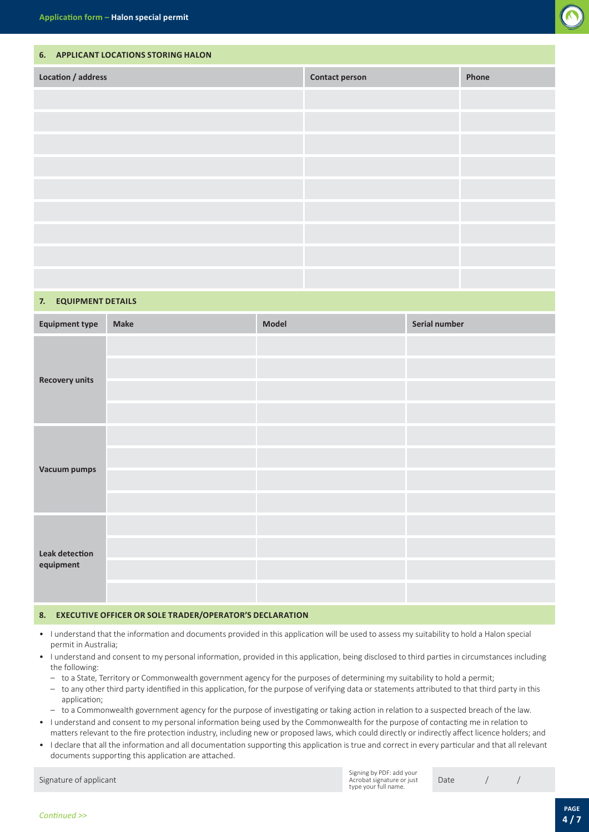

# **6. APPLICANT LOCATIONS STORING HALON Location / address Contact person Phone**

## **7. EQUIPMENT DETAILS**

| <b>Equipment type</b>              | Make | Model | Serial number |
|------------------------------------|------|-------|---------------|
|                                    |      |       |               |
|                                    |      |       |               |
| <b>Recovery units</b>              |      |       |               |
|                                    |      |       |               |
|                                    |      |       |               |
|                                    |      |       |               |
| <b>Vacuum pumps</b>                |      |       |               |
|                                    |      |       |               |
|                                    |      |       |               |
| <b>Leak detection</b><br>equipment |      |       |               |
|                                    |      |       |               |
|                                    |      |       |               |

#### **8. EXECUTIVE OFFICER OR SOLE TRADER/OPERATOR'S DECLARATION**

- I understand that the information and documents provided in this application will be used to assess my suitability to hold a Halon special permit in Australia;
- I understand and consent to my personal information, provided in this application, being disclosed to third parties in circumstances including the following:
	- to a State, Territory or Commonwealth government agency for the purposes of determining my suitability to hold a permit;
	- to any other third party identified in this application, for the purpose of verifying data or statements attributed to that third party in this application;
- to a Commonwealth government agency for the purpose of investigating or taking action in relation to a suspected breach of the law.
- I understand and consent to my personal information being used by the Commonwealth for the purpose of contacting me in relation to matters relevant to the fire protection industry, including new or proposed laws, which could directly or indirectly affect licence holders; and
- I declare that all the information and all documentation supporting this application is true and correct in every particular and that all relevant documents supporting this application are attached.

Signing by PDF: add your Acrobat signature or just type your full name.

Signature of applicant and the contract of the contract of the contract of the contract of the contract of the contract of the contract of the contract of the contract of the contract of the contract of the contract of the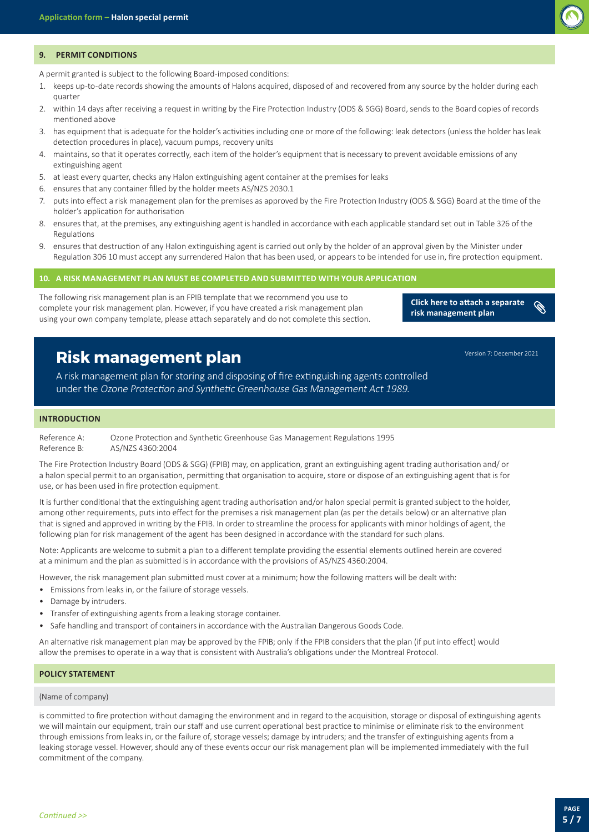

#### **9. PERMIT CONDITIONS**

A permit granted is subject to the following Board-imposed conditions:

- 1. keeps up-to-date records showing the amounts of Halons acquired, disposed of and recovered from any source by the holder during each quarter
- 2. within 14 days after receiving a request in writing by the Fire Protection Industry (ODS & SGG) Board, sends to the Board copies of records mentioned above
- 3. has equipment that is adequate for the holder's activities including one or more of the following: leak detectors (unless the holder has leak detection procedures in place), vacuum pumps, recovery units
- 4. maintains, so that it operates correctly, each item of the holder's equipment that is necessary to prevent avoidable emissions of any extinguishing agent
- 5. at least every quarter, checks any Halon extinguishing agent container at the premises for leaks
- 6. ensures that any container filled by the holder meets AS/NZS 2030.1
- 7. puts into effect a risk management plan for the premises as approved by the Fire Protection Industry (ODS & SGG) Board at the time of the holder's application for authorisation
- 8. ensures that, at the premises, any extinguishing agent is handled in accordance with each applicable standard set out in Table 326 of the Regulations
- 9. ensures that destruction of any Halon extinguishing agent is carried out only by the holder of an approval given by the Minister under Regulation 306 10 must accept any surrendered Halon that has been used, or appears to be intended for use in, fire protection equipment.

**10. A RISK MANAGEMENT PLAN MUST BE COMPLETED AND SUBMITTED WITH YOUR APPLICATION**

The following risk management plan is an FPIB template that we recommend you use to complete your risk management plan. However, if you have created a risk management plan using your own company template, please attach separately and do not complete this section.

**Click here to attach a separate risk management plan**

# **Risk management plan**

A risk management plan for storing and disposing of fire extinguishing agents controlled under the Ozone Protection and Synthetic Greenhouse Gas Management Act 1989.

#### **INTRODUCTION**

Reference A: Ozone Protection and Synthetic Greenhouse Gas Management Regulations 1995 Reference B: AS/NZS 4360:2004

The Fire Protection Industry Board (ODS & SGG) (FPIB) may, on application, grant an extinguishing agent trading authorisation and/ or a halon special permit to an organisation, permitting that organisation to acquire, store or dispose of an extinguishing agent that is for use, or has been used in fire protection equipment.

It is further conditional that the extinguishing agent trading authorisation and/or halon special permit is granted subject to the holder, among other requirements, puts into effect for the premises a risk management plan (as per the details below) or an alternative plan that is signed and approved in writing by the FPIB. In order to streamline the process for applicants with minor holdings of agent, the following plan for risk management of the agent has been designed in accordance with the standard for such plans.

Note: Applicants are welcome to submit a plan to a different template providing the essential elements outlined herein are covered at a minimum and the plan as submitted is in accordance with the provisions of AS/NZS 4360:2004.

However, the risk management plan submitted must cover at a minimum; how the following matters will be dealt with:

- Emissions from leaks in, or the failure of storage vessels.
- Damage by intruders.
- Transfer of extinguishing agents from a leaking storage container.
- Safe handling and transport of containers in accordance with the Australian Dangerous Goods Code.

An alternative risk management plan may be approved by the FPIB; only if the FPIB considers that the plan (if put into effect) would allow the premises to operate in a way that is consistent with Australia's obligations under the Montreal Protocol.

#### **POLICY STATEMENT**

#### (Name of company)

is committed to fire protection without damaging the environment and in regard to the acquisition, storage or disposal of extinguishing agents we will maintain our equipment, train our staff and use current operational best practice to minimise or eliminate risk to the environment through emissions from leaks in, or the failure of, storage vessels; damage by intruders; and the transfer of extinguishing agents from a leaking storage vessel. However, should any of these events occur our risk management plan will be implemented immediately with the full commitment of the company.

Version 7: December 2021

 $\mathscr{C}$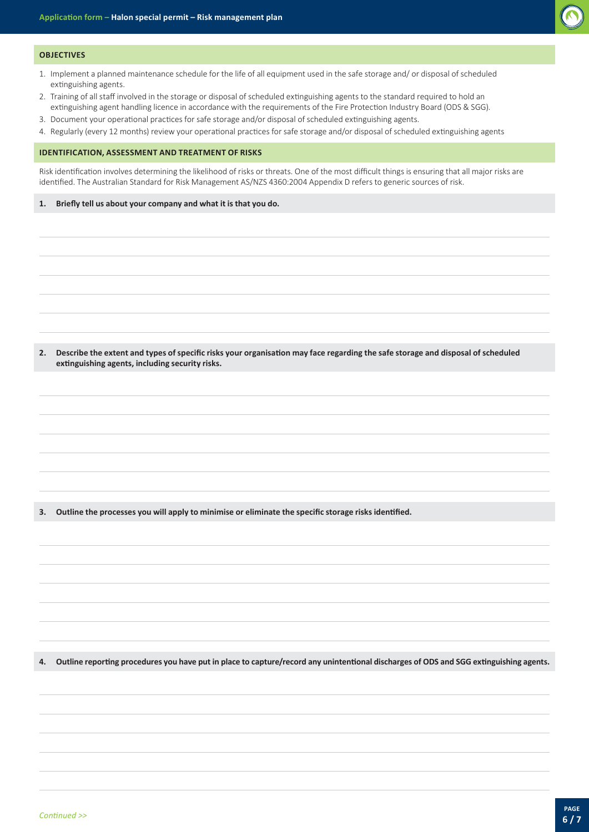

#### **OBJECTIVES**

- 1. Implement a planned maintenance schedule for the life of all equipment used in the safe storage and/ or disposal of scheduled extinguishing agents.
- 2. Training of all staff involved in the storage or disposal of scheduled extinguishing agents to the standard required to hold an extinguishing agent handling licence in accordance with the requirements of the Fire Protection Industry Board (ODS & SGG).
- 3. Document your operational practices for safe storage and/or disposal of scheduled extinguishing agents.
- 4. Regularly (every 12 months) review your operational practices for safe storage and/or disposal of scheduled extinguishing agents

#### **IDENTIFICATION, ASSESSMENT AND TREATMENT OF RISKS**

Risk identification involves determining the likelihood of risks or threats. One of the most difficult things is ensuring that all major risks are identified. The Australian Standard for Risk Management AS/NZS 4360:2004 Appendix D refers to generic sources of risk.

#### **1. Briefly tell us about your company and what it is that you do.**

**2. Describe the extent and types of specific risks your organisation may face regarding the safe storage and disposal of scheduled extinguishing agents, including security risks.**

**3. Outline the processes you will apply to minimise or eliminate the specific storage risks identified.**

**4. Outline reporting procedures you have put in place to capture/record any unintentional discharges of ODS and SGG extinguishing agents.**